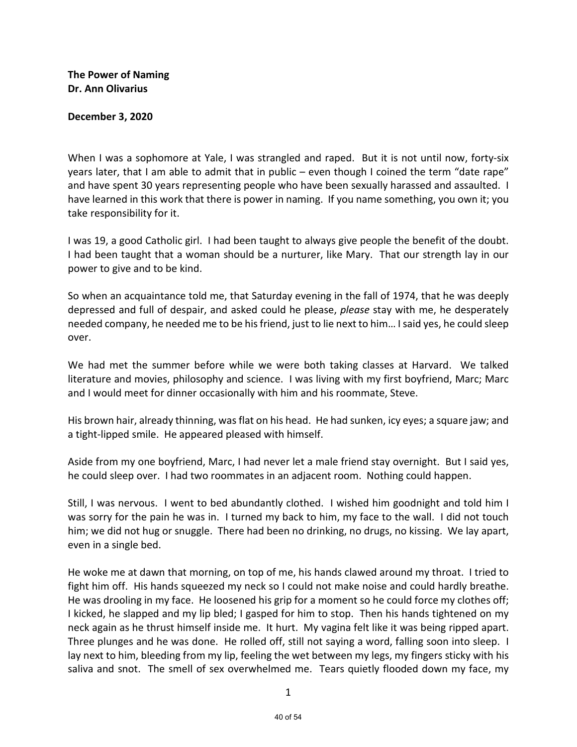**The Power of Naming Dr. Ann Olivarius**

## **December 3, 2020**

When I was a sophomore at Yale, I was strangled and raped. But it is not until now, forty-six years later, that I am able to admit that in public – even though I coined the term "date rape" and have spent 30 years representing people who have been sexually harassed and assaulted. I have learned in this work that there is power in naming. If you name something, you own it; you take responsibility for it.

I was 19, a good Catholic girl. I had been taught to always give people the benefit of the doubt. I had been taught that a woman should be a nurturer, like Mary. That our strength lay in our power to give and to be kind.

So when an acquaintance told me, that Saturday evening in the fall of 1974, that he was deeply depressed and full of despair, and asked could he please, *please* stay with me, he desperately needed company, he needed me to be his friend, just to lie next to him… I said yes, he could sleep over.

We had met the summer before while we were both taking classes at Harvard. We talked literature and movies, philosophy and science. I was living with my first boyfriend, Marc; Marc and I would meet for dinner occasionally with him and his roommate, Steve.

His brown hair, already thinning, wasflat on his head. He had sunken, icy eyes; a square jaw; and a tight-lipped smile. He appeared pleased with himself.

Aside from my one boyfriend, Marc, I had never let a male friend stay overnight. But I said yes, he could sleep over. I had two roommates in an adjacent room. Nothing could happen.

Still, I was nervous. I went to bed abundantly clothed. I wished him goodnight and told him I was sorry for the pain he was in. I turned my back to him, my face to the wall. I did not touch him; we did not hug or snuggle. There had been no drinking, no drugs, no kissing. We lay apart, even in a single bed.

He woke me at dawn that morning, on top of me, his hands clawed around my throat. I tried to fight him off. His hands squeezed my neck so I could not make noise and could hardly breathe. He was drooling in my face. He loosened his grip for a moment so he could force my clothes off; I kicked, he slapped and my lip bled; I gasped for him to stop. Then his hands tightened on my neck again as he thrust himself inside me. It hurt. My vagina felt like it was being ripped apart. Three plunges and he was done. He rolled off, still not saying a word, falling soon into sleep. I lay next to him, bleeding from my lip, feeling the wet between my legs, my fingers sticky with his saliva and snot. The smell of sex overwhelmed me. Tears quietly flooded down my face, my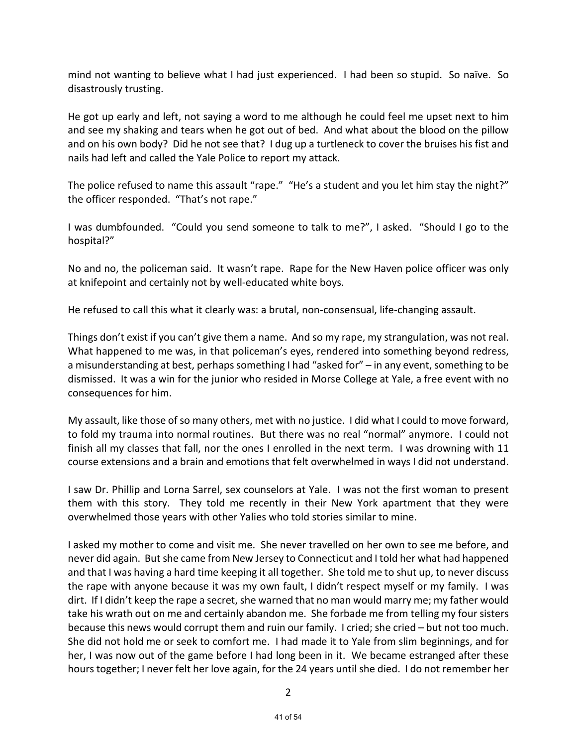mind not wanting to believe what I had just experienced. I had been so stupid. So naïve. So disastrously trusting.

He got up early and left, not saying a word to me although he could feel me upset next to him and see my shaking and tears when he got out of bed. And what about the blood on the pillow and on his own body? Did he not see that? I dug up a turtleneck to cover the bruises his fist and nails had left and called the Yale Police to report my attack.

The police refused to name this assault "rape." "He's a student and you let him stay the night?" the officer responded. "That's not rape."

I was dumbfounded. "Could you send someone to talk to me?", I asked. "Should I go to the hospital?"

No and no, the policeman said. It wasn't rape. Rape for the New Haven police officer was only at knifepoint and certainly not by well-educated white boys.

He refused to call this what it clearly was: a brutal, non-consensual, life-changing assault.

Things don't exist if you can't give them a name. And so my rape, my strangulation, was not real. What happened to me was, in that policeman's eyes, rendered into something beyond redress, a misunderstanding at best, perhaps something I had "asked for" – in any event, something to be dismissed. It was a win for the junior who resided in Morse College at Yale, a free event with no consequences for him.

My assault, like those of so many others, met with no justice. I did what I could to move forward, to fold my trauma into normal routines. But there was no real "normal" anymore. I could not finish all my classes that fall, nor the ones I enrolled in the next term. I was drowning with 11 course extensions and a brain and emotions that felt overwhelmed in ways I did not understand.

I saw Dr. Phillip and Lorna Sarrel, sex counselors at Yale. I was not the first woman to present them with this story. They told me recently in their New York apartment that they were overwhelmed those years with other Yalies who told stories similar to mine.

I asked my mother to come and visit me. She never travelled on her own to see me before, and never did again. But she came from New Jersey to Connecticut and I told her what had happened and that I was having a hard time keeping it all together. She told me to shut up, to never discuss the rape with anyone because it was my own fault, I didn't respect myself or my family. I was dirt. If I didn't keep the rape a secret, she warned that no man would marry me; my father would take his wrath out on me and certainly abandon me. She forbade me from telling my four sisters because this news would corrupt them and ruin our family. I cried; she cried – but not too much. She did not hold me or seek to comfort me. I had made it to Yale from slim beginnings, and for her, I was now out of the game before I had long been in it. We became estranged after these hours together; I never felt her love again, for the 24 years until she died. I do not remember her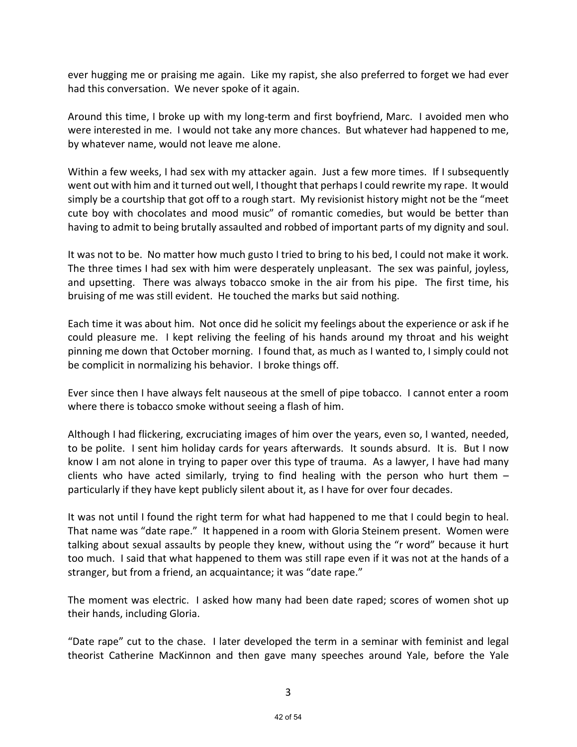ever hugging me or praising me again. Like my rapist, she also preferred to forget we had ever had this conversation. We never spoke of it again.

Around this time, I broke up with my long-term and first boyfriend, Marc. I avoided men who were interested in me. I would not take any more chances. But whatever had happened to me, by whatever name, would not leave me alone.

Within a few weeks, I had sex with my attacker again. Just a few more times. If I subsequently went out with him and it turned out well, I thought that perhaps I could rewrite my rape. It would simply be a courtship that got off to a rough start. My revisionist history might not be the "meet cute boy with chocolates and mood music" of romantic comedies, but would be better than having to admit to being brutally assaulted and robbed of important parts of my dignity and soul.

It was not to be. No matter how much gusto I tried to bring to his bed, I could not make it work. The three times I had sex with him were desperately unpleasant. The sex was painful, joyless, and upsetting. There was always tobacco smoke in the air from his pipe. The first time, his bruising of me was still evident. He touched the marks but said nothing.

Each time it was about him. Not once did he solicit my feelings about the experience or ask if he could pleasure me. I kept reliving the feeling of his hands around my throat and his weight pinning me down that October morning. I found that, as much as I wanted to, I simply could not be complicit in normalizing his behavior. I broke things off.

Ever since then I have always felt nauseous at the smell of pipe tobacco. I cannot enter a room where there is tobacco smoke without seeing a flash of him.

Although I had flickering, excruciating images of him over the years, even so, I wanted, needed, to be polite. I sent him holiday cards for years afterwards. It sounds absurd. It is. But I now know I am not alone in trying to paper over this type of trauma. As a lawyer, I have had many clients who have acted similarly, trying to find healing with the person who hurt them  $$ particularly if they have kept publicly silent about it, as I have for over four decades.

It was not until I found the right term for what had happened to me that I could begin to heal. That name was "date rape." It happened in a room with Gloria Steinem present. Women were talking about sexual assaults by people they knew, without using the "r word" because it hurt too much. I said that what happened to them was still rape even if it was not at the hands of a stranger, but from a friend, an acquaintance; it was "date rape."

The moment was electric. I asked how many had been date raped; scores of women shot up their hands, including Gloria.

"Date rape" cut to the chase. I later developed the term in a seminar with feminist and legal theorist Catherine MacKinnon and then gave many speeches around Yale, before the Yale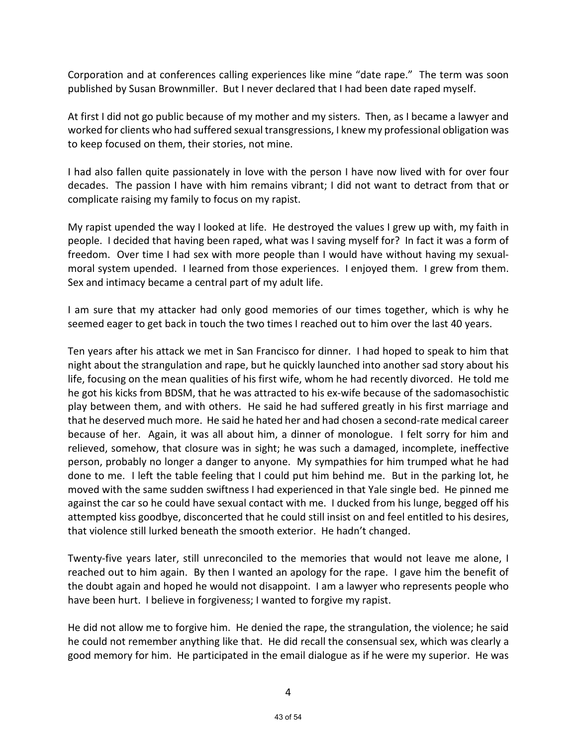Corporation and at conferences calling experiences like mine "date rape." The term was soon published by Susan Brownmiller. But I never declared that I had been date raped myself.

At first I did not go public because of my mother and my sisters. Then, as I became a lawyer and worked for clients who had suffered sexual transgressions, I knew my professional obligation was to keep focused on them, their stories, not mine.

I had also fallen quite passionately in love with the person I have now lived with for over four decades. The passion I have with him remains vibrant; I did not want to detract from that or complicate raising my family to focus on my rapist.

My rapist upended the way I looked at life. He destroyed the values I grew up with, my faith in people. I decided that having been raped, what was I saving myself for? In fact it was a form of freedom. Over time I had sex with more people than I would have without having my sexualmoral system upended. I learned from those experiences. I enjoyed them. I grew from them. Sex and intimacy became a central part of my adult life.

I am sure that my attacker had only good memories of our times together, which is why he seemed eager to get back in touch the two times I reached out to him over the last 40 years.

Ten years after his attack we met in San Francisco for dinner. I had hoped to speak to him that night about the strangulation and rape, but he quickly launched into another sad story about his life, focusing on the mean qualities of his first wife, whom he had recently divorced. He told me he got his kicks from BDSM, that he was attracted to his ex-wife because of the sadomasochistic play between them, and with others. He said he had suffered greatly in his first marriage and that he deserved much more. He said he hated her and had chosen a second-rate medical career because of her. Again, it was all about him, a dinner of monologue. I felt sorry for him and relieved, somehow, that closure was in sight; he was such a damaged, incomplete, ineffective person, probably no longer a danger to anyone. My sympathies for him trumped what he had done to me. I left the table feeling that I could put him behind me. But in the parking lot, he moved with the same sudden swiftness I had experienced in that Yale single bed. He pinned me against the car so he could have sexual contact with me. I ducked from his lunge, begged off his attempted kiss goodbye, disconcerted that he could still insist on and feel entitled to his desires, that violence still lurked beneath the smooth exterior. He hadn't changed.

Twenty-five years later, still unreconciled to the memories that would not leave me alone, I reached out to him again. By then I wanted an apology for the rape. I gave him the benefit of the doubt again and hoped he would not disappoint. I am a lawyer who represents people who have been hurt. I believe in forgiveness; I wanted to forgive my rapist.

He did not allow me to forgive him. He denied the rape, the strangulation, the violence; he said he could not remember anything like that. He did recall the consensual sex, which was clearly a good memory for him. He participated in the email dialogue as if he were my superior. He was